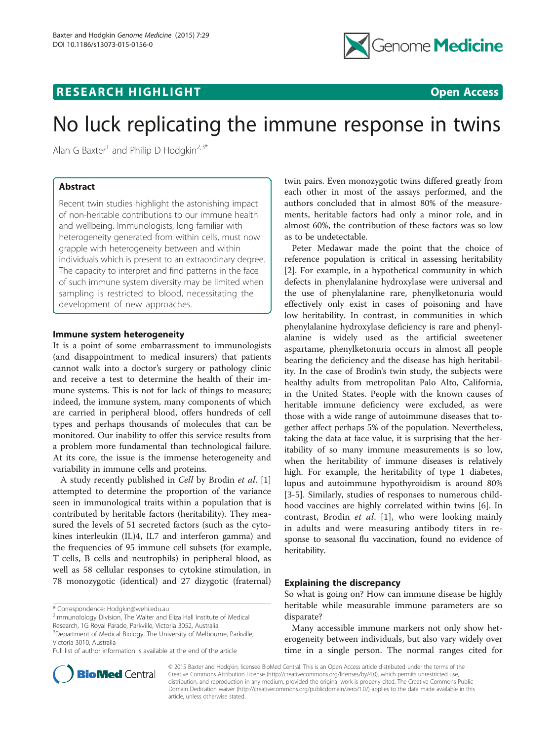

# **RESEARCH HIGHLIGHT CONSUMING THE OPEN ACCESS**

# No luck replicating the immune response in twins

Alan G Baxter<sup>1</sup> and Philip D Hodgkin<sup>2,3\*</sup>

# Abstract

Recent twin studies highlight the astonishing impact of non-heritable contributions to our immune health and wellbeing. Immunologists, long familiar with heterogeneity generated from within cells, must now grapple with heterogeneity between and within individuals which is present to an extraordinary degree. The capacity to interpret and find patterns in the face of such immune system diversity may be limited when sampling is restricted to blood, necessitating the development of new approaches.

## Immune system heterogeneity

It is a point of some embarrassment to immunologists (and disappointment to medical insurers) that patients cannot walk into a doctor's surgery or pathology clinic and receive a test to determine the health of their immune systems. This is not for lack of things to measure; indeed, the immune system, many components of which are carried in peripheral blood, offers hundreds of cell types and perhaps thousands of molecules that can be monitored. Our inability to offer this service results from a problem more fundamental than technological failure. At its core, the issue is the immense heterogeneity and variability in immune cells and proteins.

A study recently published in Cell by Brodin et al. [\[1](#page-1-0)] attempted to determine the proportion of the variance seen in immunological traits within a population that is contributed by heritable factors (heritability). They measured the levels of 51 secreted factors (such as the cytokines interleukin (IL)4, IL7 and interferon gamma) and the frequencies of 95 immune cell subsets (for example, T cells, B cells and neutrophils) in peripheral blood, as well as 58 cellular responses to cytokine stimulation, in 78 monozygotic (identical) and 27 dizygotic (fraternal)



Peter Medawar made the point that the choice of reference population is critical in assessing heritability [[2\]](#page-1-0). For example, in a hypothetical community in which defects in phenylalanine hydroxylase were universal and the use of phenylalanine rare, phenylketonuria would effectively only exist in cases of poisoning and have low heritability. In contrast, in communities in which phenylalanine hydroxylase deficiency is rare and phenylalanine is widely used as the artificial sweetener aspartame, phenylketonuria occurs in almost all people bearing the deficiency and the disease has high heritability. In the case of Brodin's twin study, the subjects were healthy adults from metropolitan Palo Alto, California, in the United States. People with the known causes of heritable immune deficiency were excluded, as were those with a wide range of autoimmune diseases that together affect perhaps 5% of the population. Nevertheless, taking the data at face value, it is surprising that the heritability of so many immune measurements is so low, when the heritability of immune diseases is relatively high. For example, the heritability of type 1 diabetes, lupus and autoimmune hypothyroidism is around 80% [[3-5](#page-1-0)]. Similarly, studies of responses to numerous childhood vaccines are highly correlated within twins [[6\]](#page-1-0). In contrast, Brodin et al. [\[1](#page-1-0)], who were looking mainly in adults and were measuring antibody titers in response to seasonal flu vaccination, found no evidence of heritability.

## Explaining the discrepancy

Many accessible immune markers not only show heterogeneity between individuals, but also vary widely over time in a single person. The normal ranges cited for



© 2015 Baxter and Hodgkin; licensee BioMed Central. This is an Open Access article distributed under the terms of the Creative Commons Attribution License (<http://creativecommons.org/licenses/by/4.0>), which permits unrestricted use, distribution, and reproduction in any medium, provided the original work is properly cited. The Creative Commons Public Domain Dedication waiver [\(http://creativecommons.org/publicdomain/zero/1.0/\)](http://creativecommons.org/publicdomain/zero/1.0/) applies to the data made available in this article, unless otherwise stated.

<sup>\*</sup> Correspondence: [Hodgkin@wehi.edu.au](mailto:Hodgkin@wehi.edu.au) <sup>2</sup>

<sup>&</sup>lt;sup>2</sup>Immunolology Division, The Walter and Eliza Hall Institute of Medical Research, 1G Royal Parade, Parkville, Victoria 3052, Australia

<sup>&</sup>lt;sup>3</sup>Department of Medical Biology, The University of Melbourne, Parkville, Victoria 3010, Australia

Full list of author information is available at the end of the article

So what is going on? How can immune disease be highly heritable while measurable immune parameters are so disparate?